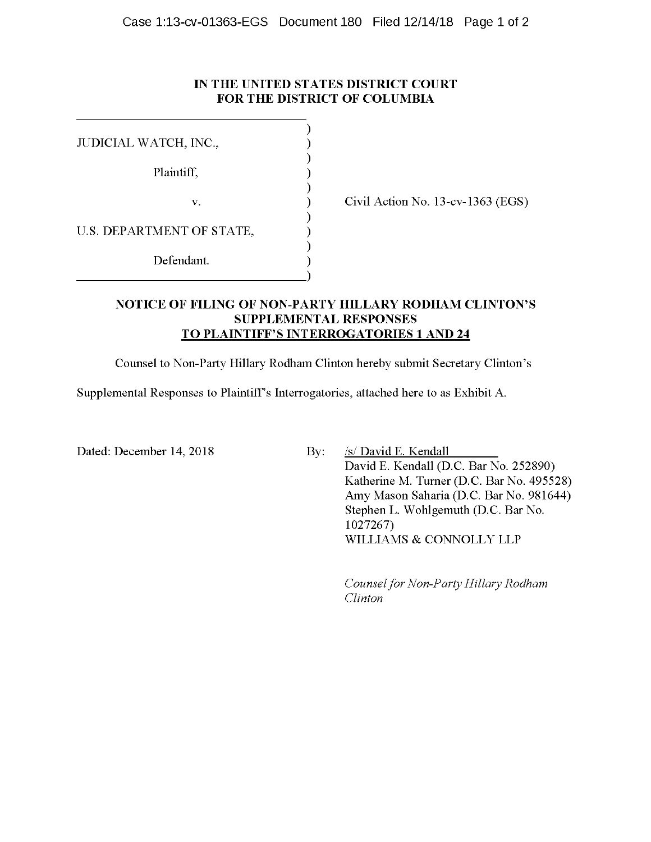#### **IN THE UNITED STATES DISTRICT COURT FOR THE DISTRICT OF COLUMBIA**

| JUDICIAL WATCH, INC.,     |  |
|---------------------------|--|
|                           |  |
| Plaintiff,                |  |
| V.                        |  |
| U.S. DEPARTMENT OF STATE, |  |
| Defendant.                |  |
|                           |  |

Civil Action No. 13-cv-1363 (EGS)

#### **NOTICE OF FILING OF NON-PARTY HILLARY RODHAM CLINTON'S SUPPLEMENTAL RESPONSES TO PLAINTIFF'S INTERROGATORIES 1 AND 24**

Counsel to Non-Party Hillary Rodham Clinton hereby submit Secretary Clinton's

Supplemental Responses to Plaintiff's Interrogatories, attached here to as Exhibit A.

Dated: December 14, 2018 By: /s/ David E. Kendall

David E. Kendall (D.C. Bar No. 252890) Katherine M. Turner (D.C. Bar No. 495528) Amy Mason Saharia (D.C. Bar No. 981644) Stephen L. Wohlgemuth (D.C. Bar No. 1027267) WILLIAMS & CONNOLLY LLP

*Counsel for Non-Party Hillary Rodham Clinton*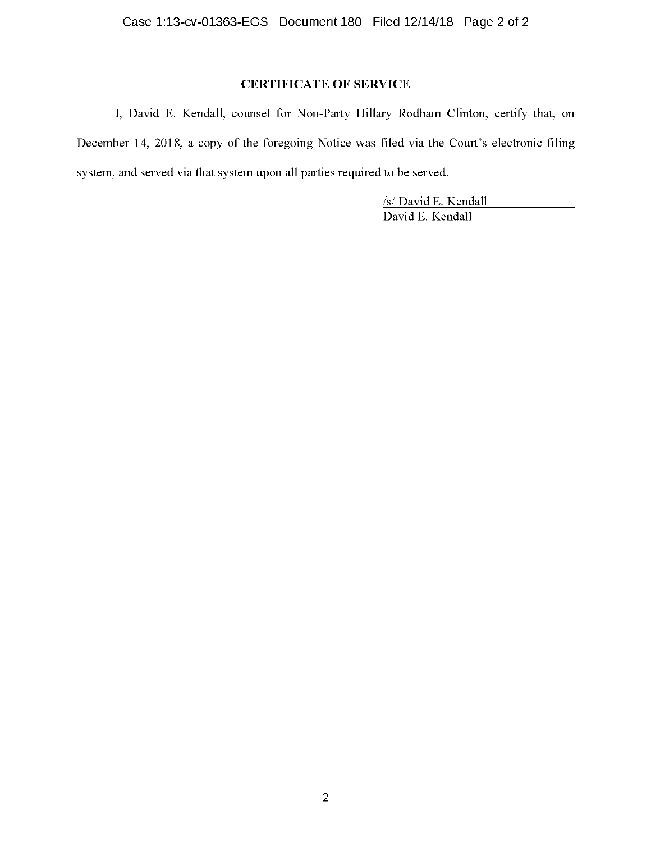## **CERTIFICATE OF SERVICE**

I, David E. Kendall, counsel for Non-Party Hillary Rodham Clinton, certify that, on December 14, 2018, a copy of the foregoing Notice was filed via the Court's electronic filing system, and served via that system upon all parties required to be served.

> /s/ David E. Kendall David E. Kendall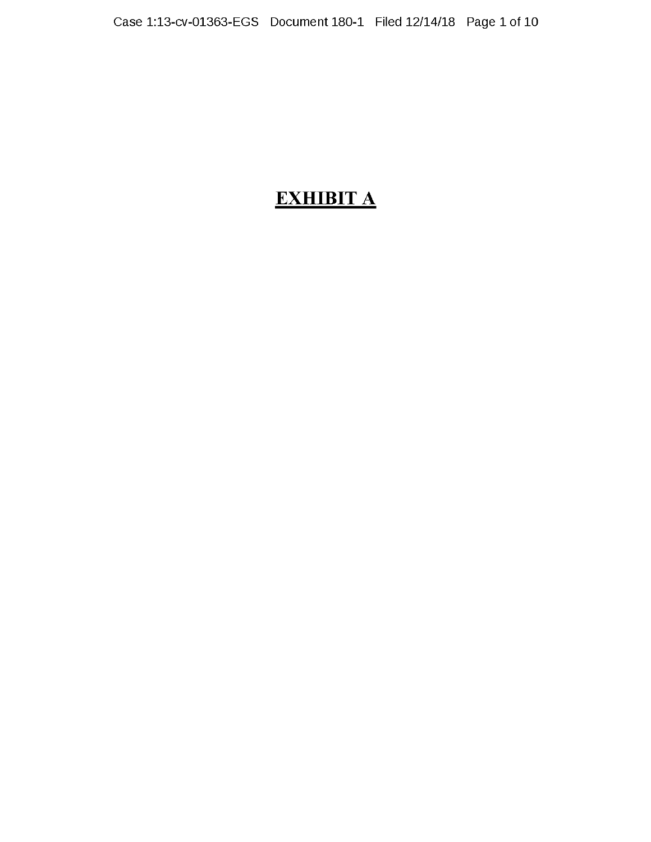# **EXHIBIT A**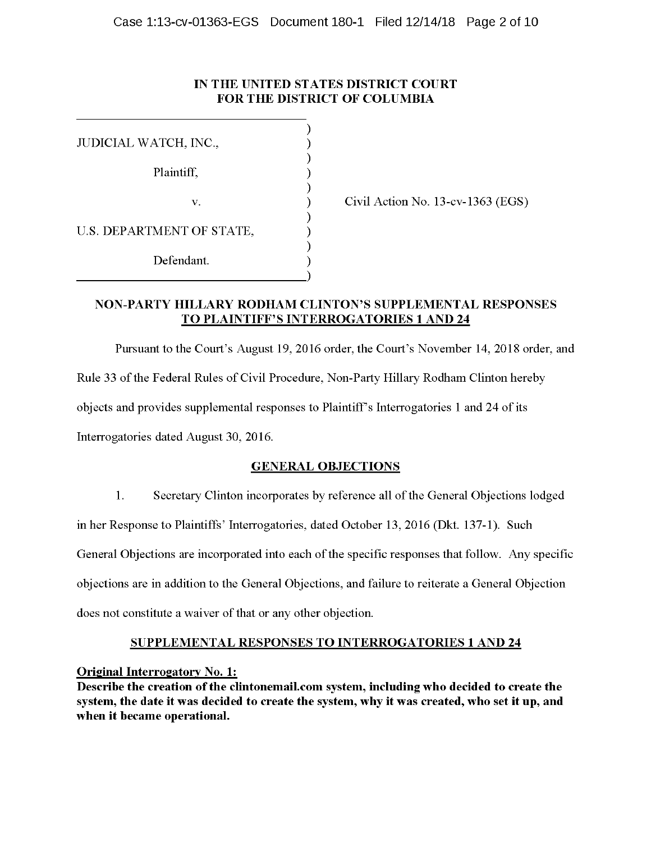#### **IN THE UNITED STATES DISTRICT COURT FOR THE DISTRICT OF COLUMBIA**

| JUDICIAL WATCH, INC.,     |  |
|---------------------------|--|
| Plaintiff,                |  |
|                           |  |
| V.                        |  |
| U.S. DEPARTMENT OF STATE, |  |
|                           |  |
| Defendant.                |  |

Civil Action No. 13-cv-1363 (EGS)

#### **NON-PARTY HILLARY RODHAM CLINTON'S SUPPLEMENTAL RESPONSES TO PLAINTIFF'S INTERROGATORIES 1 AND 24**

Pursuant to the Court's August 19, 2016 order, the Court's November 14, 2018 order, and Rule 33 of the Federal Rules of Civil Procedure, Non-Party Hillary Rodham Clinton hereby objects and provides supplemental responses to Plaintiff's Interrogatories 1 and 24 of its Interrogatories dated August 30, 2016.

## **GENERAL OBJECTIONS**

1. Secretary Clinton incorporates by reference all of the General Objections lodged in her Response to Plaintiffs' Interrogatories, dated October 13, 2016 (Dkt. 137-1). Such General Objections are incorporated into each of the specific responses that follow. Any specific objections are in addition to the General Objections, and failure to reiterate a General Objection does not constitute a waiver of that or any other objection.

## **SUPPLEMENTAL RESPONSES TO INTERROGATORIES 1 AND 24**

## **Original Interrogatory No. 1:**

**Describe the creation of the clintonemail.com system, including who decided to create the system, the date it was decided to create the system, why it was created, who set it up, and when it became operational.**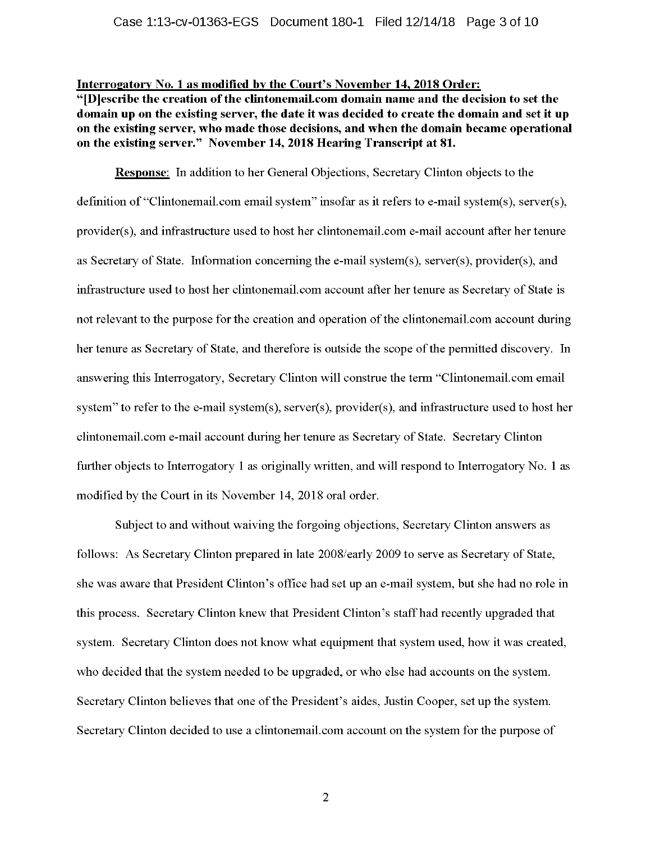#### **Interrogatory No. 1 as modified by the Court's November 14, 2018 Order:**

**"[D]escribe the creation of the clintonemail.com domain name and the decision to set the domain up on the existing server, the date it was decided to create the domain and set it up on the existing server, who made those decisions, and when the domain became operational on the existing server." November 14, 2018 Hearing Transcript at 81.** 

**Response:** In addition to her General Objections, Secretary Clinton objects to the definition of "Clintonemail.com email system" insofar as it refers to e-mail system(s), server(s), provider(s ), and infrastructure used to host her clintonemail.com e-mail account after her tenure as Secretary of State. Information concerning the e-mail system(s), server(s), provider(s), and infrastructure used to host her clintonemail.com account after her tenure as Secretary of State is not relevant to the purpose for the creation and operation of the clintonemail.com account during her tenure as Secretary of State, and therefore is outside the scope of the permitted discovery. In answering this Interrogatory, Secretary Clinton will construe the term "Clintonemail.com email system" to refer to the e-mail system(s), server(s), provider(s), and infrastructure used to host her clintonemail.com e-mail account during her tenure as Secretary of State. Secretary Clinton further objects to Interrogatory 1 as originally written, and will respond to Interrogatory No. 1 as modified by the Court in its November 14, 2018 oral order.

Subject to and without waiving the forgoing objections, Secretary Clinton answers as follows: As Secretary Clinton prepared in late 2008/early 2009 to serve as Secretary of State, she was aware that President Clinton's office had set up an e-mail system, but she had no role in this process. Secretary Clinton knew that President Clinton's staff had recently upgraded that system. Secretary Clinton does not know what equipment that system used, how it was created, who decided that the system needed to be upgraded, or who else had accounts on the system. Secretary Clinton believes that one of the President's aides, Justin Cooper, set up the system. Secretary Clinton decided to use a clintonemail.com account on the system for the purpose of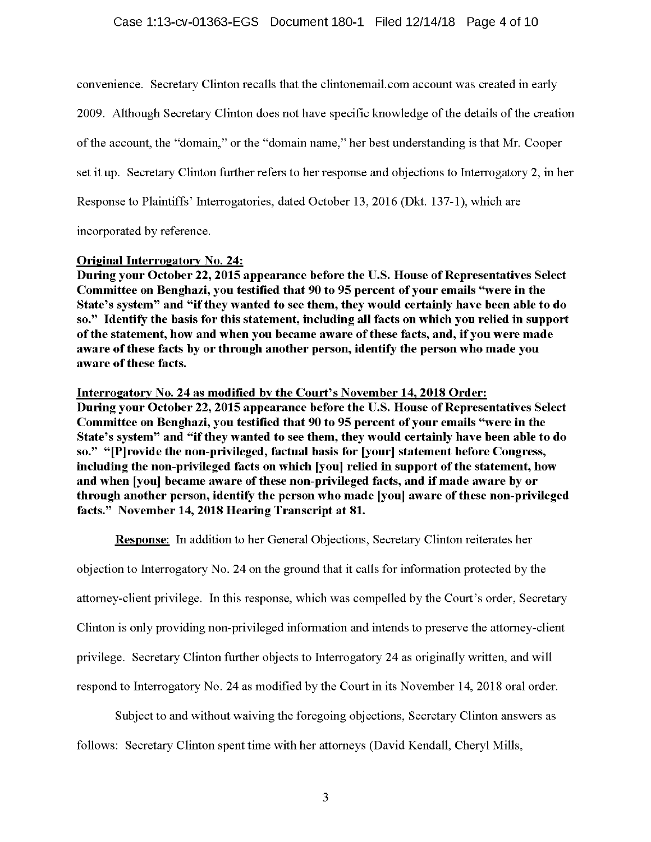#### Case 1:13-cv-01363-EGS Document 180-1 Filed 12/14/18 Page 4 of 10

convenience. Secretary Clinton recalls that the clintonemail.com account was created in early 2009. Although Secretary Clinton does not have specific knowledge of the details of the creation of the account, the "domain," or the "domain name," her best understanding is that Mr. Cooper set it up. Secretary Clinton further refers to her response and objections to Interrogatory 2, in her Response to Plaintiffs' Interrogatories, dated October 13, 2016 (Dkt. 137-1), which are

incorporated by reference.

#### **Original Interrogatory No. 24:**

**During your October 22, 2015 appearance before the U.S. House of Representatives Select Committee on Benghazi, you testified that 90 to 95 percent of your emails "were in the State's system" and "if they wanted to see them, they would certainly have been able to do so." Identify the basis for this statement, including all facts on which you relied** in **support of the statement, how and when you became aware of these facts, and, if you were made aware of these facts by or through another person, identify the person who made you aware of these facts.** 

#### **Interrogatory No. 24 as modified by the Court's November 14, 2018 Order:**

**During your October 22, 2015 appearance before the U.S. House of Representatives Select Committee on Benghazi, you testified that 90 to 95 percent of your emails "were in the State's system" and "if they wanted to see them, they would certainly have been able to do so." "[P]rovide the non-privileged, factual basis for [your] statement before Congress, including the non-privileged facts on which [you] relied** in **support of the statement, how and when [you] became aware of these non-privileged facts, and if made aware by or through another person, identify the person who made [you] aware of these non-privileged facts." November 14, 2018 Hearing Transcript at 81.** 

**Response:** In addition to her General Objections, Secretary Clinton reiterates her

objection to Interrogatory No. 24 on the ground that it calls for information protected by the

attorney-client privilege. In this response, which was compelled by the Court's order, Secretary

Clinton is only providing non-privileged information and intends to preserve the attorney-client

privilege. Secretary Clinton further objects to Interrogatory 24 as originally written, and will

respond to Interrogatory No. 24 as modified by the Court in its November 14, 2018 oral order.

Subject to and without waiving the foregoing objections, Secretary Clinton answers as

follows: Secretary Clinton spent time with her attorneys (David Kendall, Cheryl Mills,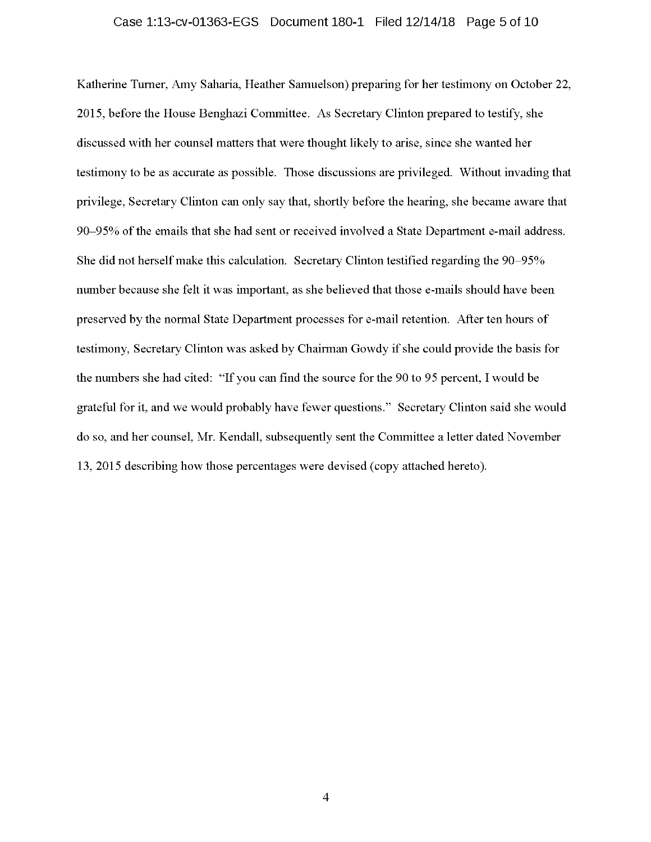#### Case 1:13-cv-01363-EGS Document 180-1 Filed 12/14/18 Page 5 of 10

Katherine Turner, Amy Saharia, Heather Samuelson) preparing for her testimony on October 22, 2015, before the House Benghazi Committee. As Secretary Clinton prepared to testify, she discussed with her counsel matters that were thought likely to arise, since she wanted her testimony to be as accurate as possible. Those discussions are privileged. Without invading that privilege, Secretary Clinton can only say that, shortly before the hearing, she became aware that 90-95% of the emails that she had sent or received involved a State Department e-mail address. She did not herself make this calculation. Secretary Clinton testified regarding the 90-95% number because she felt it was important, as she believed that those e-mails should have been preserved by the normal State Department processes for e-mail retention. After ten hours of testimony, Secretary Clinton was asked by Chairman Gowdy if she could provide the basis for the numbers she had cited: "If you can find the source for the 90 to 95 percent, I would be grateful for it, and we would probably have fewer questions." Secretary Clinton said she would do so, and her counsel, Mr. Kendall, subsequently sent the Committee a letter dated November 13, 2015 describing how those percentages were devised ( copy attached hereto).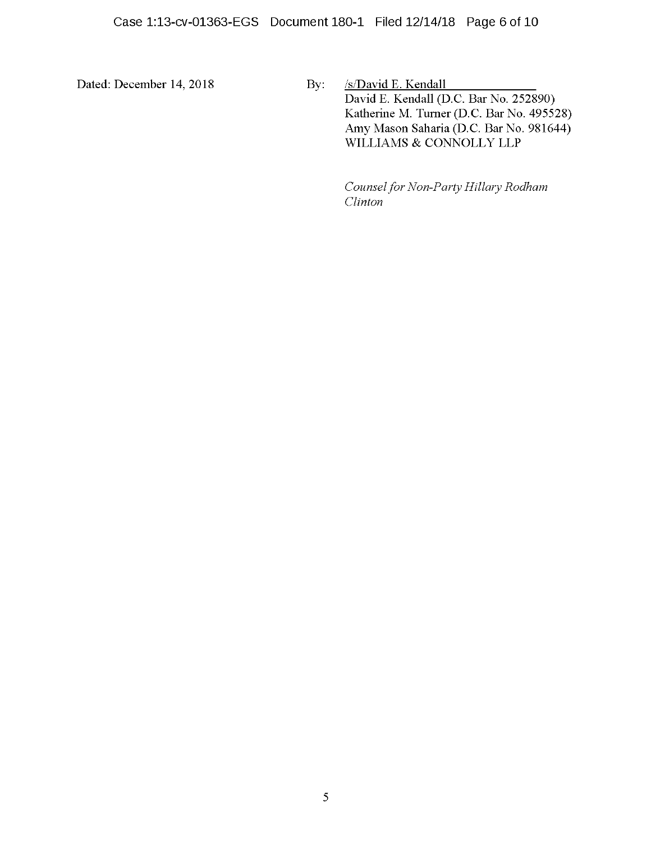Dated: December 14, 2018 By: *ls/David E. Kendall* David E. Kendall (D.C. Bar No. 252890) Katherine M. Turner (D.C. Bar No. 495528) Amy Mason Saharia (D.C. Bar No. 981644) WILLIAMS & CONNOLLY LLP

> *Counsel for Non-Party Hillary Rodham Clinton*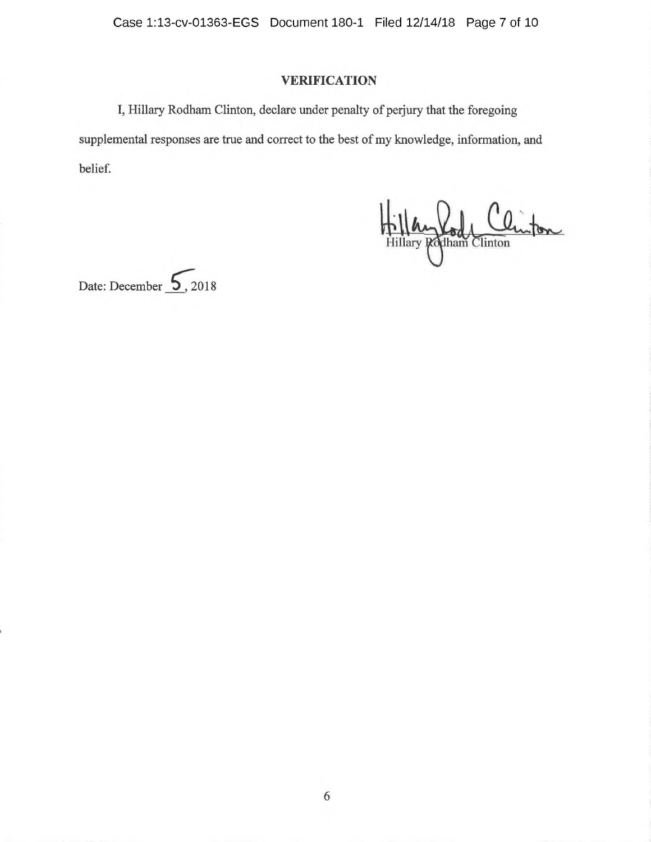Case 1:13-cv-01363-EGS Document 180-1 Filed 12/14/18 Page 7 of 10

## **VERIFICATION**

I, Hillary Rodham Clinton, declare under penalty of perjury that the foregoing supplemental responses are true and correct to the best of my knowledge, information, and belief.

Hillary Rod Clinton

Date: December 5, 2018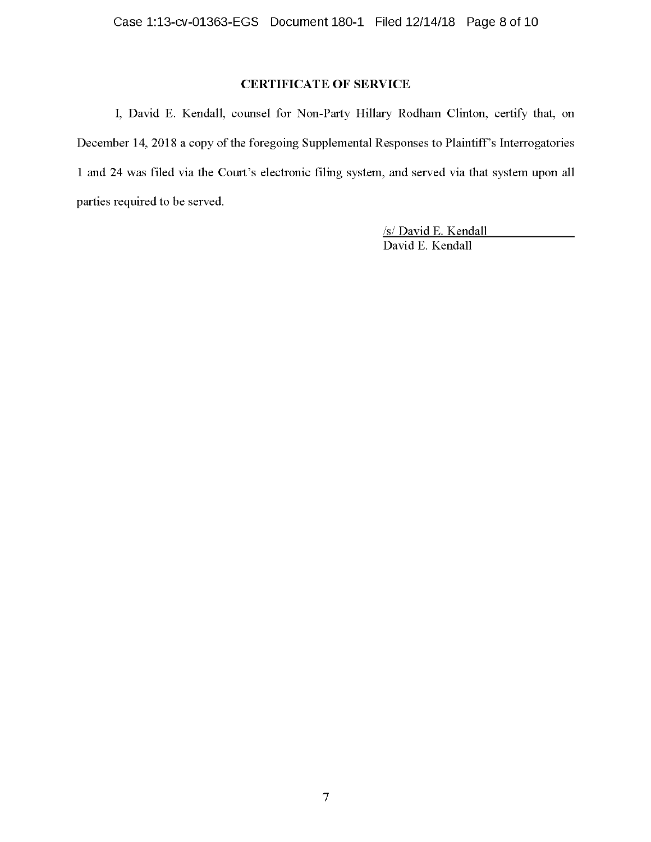## **CERTIFICATE OF SERVICE**

I, David E. Kendall, counsel for Non-Party Hillary Rodham Clinton, certify that, on December 14, 2018 a copy of the foregoing Supplemental Responses to Plaintiff's Interrogatories 1 and 24 was filed via the Court's electronic filing system, and served via that system upon all parties required to be served.

> /s/ David E. Kendall David E. Kendall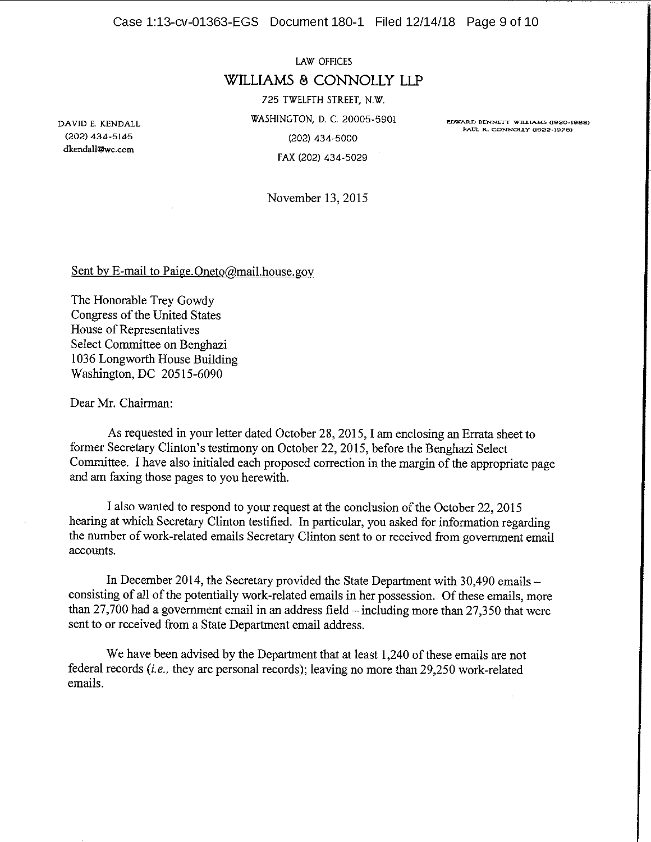Case 1:13-cv-01363-EGS Document 180-1 Filed 12/14/18 Page 9 of 10

LAW OFFICES **WILLIAMS B CONNOLLY LLP**  725 TWELFTH STREET, N.W. WASHINGTON, D. C. 20005-5901 (202) 434-5000 FAX (202) 434-5029

**EDWARD BENNETT WILLIAMS Cl920-19BB) PAUL R. CONNOLLY (1922-1976)** 

November 13, 2015

Sent by E-mail to Paige.Oneto@mail.house.gov

The Honorable Trey Gowdy Congress of the United States House of Representatives Select Committee on Benghazi 1036 Longworth House Building Washington, DC 20515-6090

Dear Mr. Chairman:

As requested in your letter dated October 28, 2015, I am enclosing an Errata sheet to former Secretary Clinton's testimony on October 22, 2015, before the Benghazi Select Committee. I have also initialed each proposed correction in the margin of the appropriate page and am faxing those pages to you herewith.

I also wanted to respond to your request at the conclusion of the October 22, 2015 hearing at which Secretary Clinton testified. In particular, you asked for information regarding the number of work-related emails Secretary Clinton sent to or received from government email accounts.

In December 2014, the Secretary provided the State Department with 30,490 emails consisting of all of the potentially work-related emails in her possession. Of these emails, more than 27,700 had a government email in an address field-including more than 27,350 that were sent to or received from a State Department email address.

We have been advised by the Department that at least 1,240 of these emails are not federal records *(i.e.,* they are personal records); leaving no more than 29,250 work-related emails.

DAVID E. KENDALL (202) 434-5145 **dkendall@wc.com**